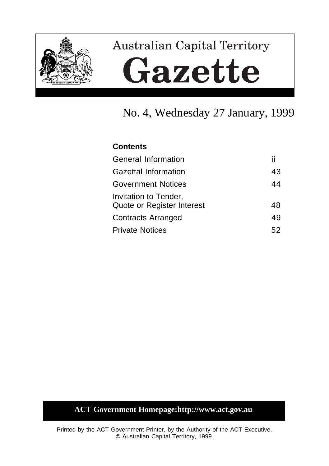

# **Australian Capital Territory** Gazette

# No. 4, Wednesday 27 January, 1999

## **Contents**

| General Information                                 | п  |
|-----------------------------------------------------|----|
| Gazettal Information                                | 43 |
| <b>Government Notices</b>                           | 44 |
| Invitation to Tender,<br>Quote or Register Interest | 48 |
| <b>Contracts Arranged</b>                           | 49 |
| <b>Private Notices</b>                              | 52 |

# **ACT Government Homepage:http://www.act.gov.au**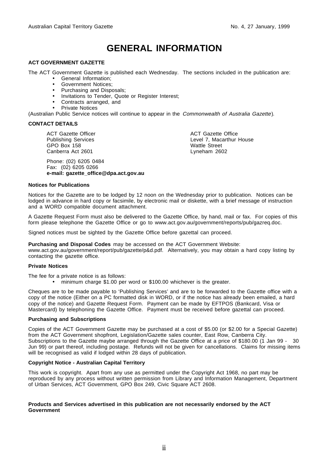# **GENERAL INFORMATION**

#### **ACT GOVERNMENT GAZETTE**

The ACT Government Gazette is published each Wednesday. The sections included in the publication are:

- General Information;
- Government Notices;
- Purchasing and Disposals;
- Invitations to Tender, Quote or Register Interest;
- Contracts arranged, and
- Private Notices

(Australian Public Service notices will continue to appear in the Commonwealth of Australia Gazette).

#### **CONTACT DETAILS**

ACT Gazette Officer Publishing Services GPO Box 158 Canberra Act 2601

Phone: (02) 6205 0484 Fax: (02) 6205 0266 **e-mail: gazette\_office@dpa.act.gov.au** ACT Gazette Office Level 7, Macarthur House Wattle Street Lyneham 2602

#### **Notices for Publications**

Notices for the Gazette are to be lodged by 12 noon on the Wednesday prior to publication. Notices can be lodged in advance in hard copy or facsimile, by electronic mail or diskette, with a brief message of instruction and a WORD compatible document attachment.

A Gazette Request Form must also be delivered to the Gazette Office, by hand, mail or fax. For copies of this form please telephone the Gazette Office or go to www.act.gov.au/government/reports/pub/gazreq.doc.

Signed notices must be sighted by the Gazette Office before gazettal can proceed.

**Purchasing and Disposal Codes** may be accessed on the ACT Government Website:

www.act.gov.au/government/report/pub/gazette/p&d.pdf. Alternatively, you may obtain a hard copy listing by contacting the gazette office.

#### **Private Notices**

The fee for a private notice is as follows:

• minimum charge \$1.00 per word or \$100.00 whichever is the greater.

Cheques are to be made payable to 'Publishing Services' and are to be forwarded to the Gazette office with a copy of the notice (Either on a PC formatted disk in WORD, or if the notice has already been emailed, a hard copy of the notice) and Gazette Request Form. Payment can be made by EFTPOS (Bankcard, Visa or Mastercard) by telephoning the Gazette Office. Payment must be received before gazettal can proceed.

#### **Purchasing and Subscriptions**

Copies of the ACT Government Gazette may be purchased at a cost of \$5.00 (or \$2.00 for a Special Gazette) from the ACT Government shopfront, Legislation/Gazette sales counter, East Row, Canberra City. Subscriptions to the Gazette maybe arranged through the Gazette Office at a price of \$180.00 (1 Jan 99 - 30 Jun 99) or part thereof, including postage. Refunds will not be given for cancellations. Claims for missing items will be recognised as valid if lodged within 28 days of publication.

#### **Copyright Notice - Australian Capital Territory**

This work is copyright. Apart from any use as permitted under the Copyright Act 1968, no part may be reproduced by any process without written permission from Library and Information Management, Department of Urban Services, ACT Government, GPO Box 249, Civic Square ACT 2608.

#### **Products and Services advertised in this publication are not necessarily endorsed by the ACT Government**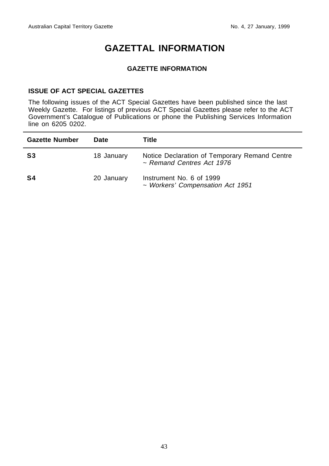# **GAZETTAL INFORMATION**

## **GAZETTE INFORMATION**

## **ISSUE OF ACT SPECIAL GAZETTES**

The following issues of the ACT Special Gazettes have been published since the last Weekly Gazette. For listings of previous ACT Special Gazettes please refer to the ACT Government's Catalogue of Publications or phone the Publishing Services Information line on 6205 0202.

| <b>Gazette Number</b> | Date       | Title                                                                      |
|-----------------------|------------|----------------------------------------------------------------------------|
| S3                    | 18 January | Notice Declaration of Temporary Remand Centre<br>~ Remand Centres Act 1976 |
| S4                    | 20 January | Instrument No. 6 of 1999<br>~ Workers' Compensation Act 1951               |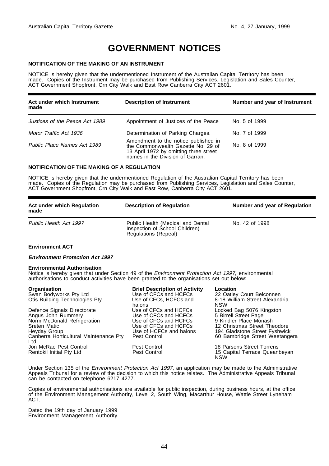# **GOVERNMENT NOTICES**

#### **NOTIFICATION OF THE MAKING OF AN INSTRUMENT**

NOTICE is hereby given that the undermentioned Instrument of the Australian Capital Territory has been made. Copies of the Instrument may be purchased from Publishing Services, Legislation and Sales Counter, ACT Government Shopfront, Crn City Walk and East Row Canberra City ACT 2601.

| Act under which Instrument<br>made | <b>Description of Instrument</b>                                                                                                                         | Number and year of Instrument |
|------------------------------------|----------------------------------------------------------------------------------------------------------------------------------------------------------|-------------------------------|
| Justices of the Peace Act 1989     | Appointment of Justices of the Peace                                                                                                                     | No. 5 of 1999                 |
| Motor Traffic Act 1936             | Determination of Parking Charges.                                                                                                                        | No. 7 of 1999                 |
| Public Place Names Act 1989        | Amendment to the notice published in<br>the Commonwealth Gazette No. 29 of<br>13 April 1972 by omitting three street<br>names in the Division of Garran. | No. 8 of 1999                 |

#### **NOTIFICATION OF THE MAKING OF A REGULATION**

NOTICE is hereby given that the undermentioned Regulation of the Australian Capital Territory has been made. Copies of the Regulation may be purchased from Publishing Services, Legislation and Sales Counter, ACT Government Shopfront, Crn City Walk and East Row, Canberra City ACT 2601.

| Act under which Regulation<br>made | <b>Description of Regulation</b>                                                            | Number and year of Regulation |
|------------------------------------|---------------------------------------------------------------------------------------------|-------------------------------|
| Public Health Act 1997             | Public Health (Medical and Dental<br>Inspection of School Children)<br>Regulations (Repeal) | No. 42 of 1998                |

#### **Environment ACT**

#### **Environment Protection Act 1997**

#### **Environmental Authorisation**

Notice is hereby given that under Section 49 of the Environment Protection Act 1997, environmental authorisations to conduct activities have been granted to the organisations set out below:

| Organisation<br>Swan Bodyworks Pty Ltd        | <b>Brief Description of Activity</b><br>Use of CFCs and HCFCs | Location<br>22 Oatley Court Belconnen       |
|-----------------------------------------------|---------------------------------------------------------------|---------------------------------------------|
| Otis Building Technologies Pty                | Use of CFCs, HCFCs and<br>halons                              | 8-18 William Street Alexandria<br>NSW       |
| Defence Signals Directorate                   | Use of CFCs and HCFCs                                         | Locked Bag 5076 Kingston                    |
| Angus John Rummery                            | Use of CFCs and HCFCs                                         | 5 Birrell Street Page                       |
| Norm McDonald Refrigeration                   | Use of CFCs and HCFCs                                         | 9 Kindler Place Monash                      |
| Sreten Matic                                  | Use of CFCs and HCFCs                                         | 12 Christmas Street Theodore                |
| Heyday Group                                  | Use of HCFCs and halons                                       | 194 Gladstone Street Fyshwick               |
| Canberra Horticultural Maintenance Pty<br>Ltd | Pest Control                                                  | 60 Bambridge Street Weetangera              |
| Jon McRae Pest Control                        | Pest Control                                                  | 18 Parsons Street Torrens                   |
| Rentokil Initial Pty Ltd                      | Pest Control                                                  | 15 Capital Terrace Queanbeyan<br><b>NSW</b> |

Under Section 135 of the *Environment Protection Act 1997*, an application may be made to the Administrative Appeals Tribunal for a review of the decision to which this notice relates. The Administrative Appeals Tribunal can be contacted on telephone 6217 4277.

Copies of environmental authorisations are available for public inspection, during business hours, at the office of the Environment Management Authority, Level 2, South Wing, Macarthur House, Wattle Street Lyneham ACT.

Dated the 19th day of January 1999 Environment Management Authority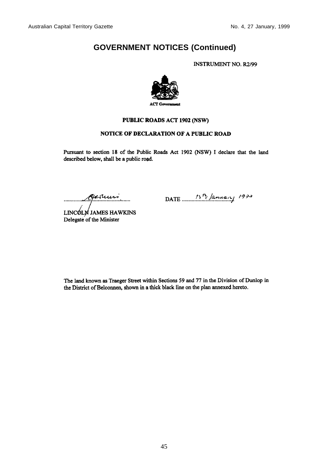## **GOVERNMENT NOTICES (Continued)**

**INSTRUMENT NO. R2/99** 



#### PUBLIC ROADS ACT 1902 (NSW)

#### NOTICE OF DECLARATION OF A PUBLIC ROAD

Pursuant to section 18 of the Public Roads Act 1902 (NSW) I declare that the land described below, shall be a public road.

Germani

DATE  $\frac{15^{n} \text{ Jamaay}}{999}$ 

LINCOLM JAMES HAWKINS Delegate of the Minister

The land known as Traeger Street within Sections 59 and 77 in the Division of Dunlop in the District of Belconnen, shown in a thick black line on the plan annexed hereto.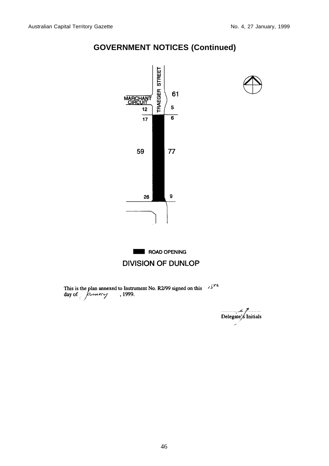

## **GOVERNMENT NOTICES (Continued)**

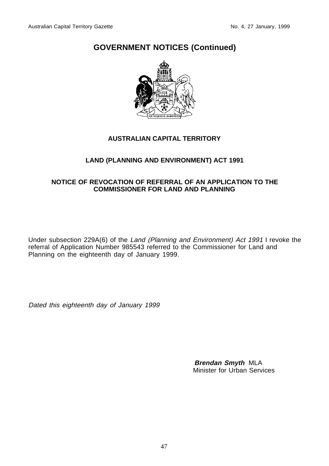## **GOVERNMENT NOTICES (Continued)**



## **AUSTRALIAN CAPITAL TERRITORY**

## **LAND (PLANNING AND ENVIRONMENT) ACT 1991**

## **NOTICE OF REVOCATION OF REFERRAL OF AN APPLICATION TO THE COMMISSIONER FOR LAND AND PLANNING**

Under subsection 229A(6) of the Land (Planning and Environment) Act 1991 I revoke the referral of Application Number 985543 referred to the Commissioner for Land and Planning on the eighteenth day of January 1999.

Dated this eighteenth day of January 1999

**Brendan Smyth** MLA Minister for Urban Services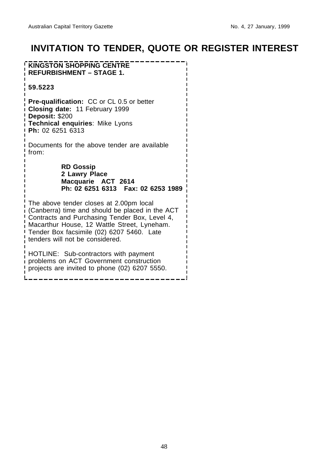# **INVITATION TO TENDER, QUOTE OR REGISTER INTEREST**

**KINGSTON SHOPPING CENTRE REFURBISHMENT – STAGE 1. 59.5223 Pre-qualification:** CC or CL 0.5 or better **Closing date:** 11 February 1999 **Deposit:** \$200 **Technical enquiries**: Mike Lyons **Ph:** 02 6251 6313 Documents for the above tender are available from: **RD Gossip 2 Lawry Place Macquarie ACT 2614 Ph: 02 6251 6313 Fax: 02 6253 1989** The above tender closes at 2.00pm local (Canberra) time and should be placed in the ACT Contracts and Purchasing Tender Box, Level 4, Macarthur House, 12 Wattle Street, Lyneham. Tender Box facsimile (02) 6207 5460. Late tenders will not be considered. HOTLINE: Sub-contractors with payment problems on ACT Government construction

projects are invited to phone (02) 6207 5550.

48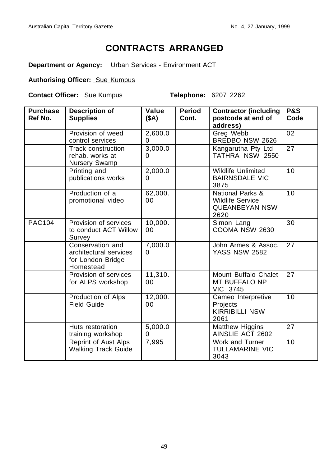# **CONTRACTS ARRANGED**

**Department or Agency:** Urban Services - Environment ACT

## **Authorising Officer: Sue Kumpus**

**Contact Officer:** Sue Kumpus **Telephone:** 6207 2262

| <b>Purchase</b><br>Ref No. | <b>Description of</b><br><b>Supplies</b>                                     | Value<br>(SA) | <b>Period</b><br>Cont. | <b>Contractor (including</b><br>postcode at end of<br>address)               | <b>P&amp;S</b><br>Code |
|----------------------------|------------------------------------------------------------------------------|---------------|------------------------|------------------------------------------------------------------------------|------------------------|
|                            | Provision of weed<br>control services                                        | 2,600.0<br>0  |                        | Greg Webb<br>BREDBO NSW 2626                                                 | 02                     |
|                            | Track construction<br>rehab. works at<br>Nursery Swamp                       | 3,000.0<br>0  |                        | Kangarutha Pty Ltd<br>TATHRA NSW 2550                                        | 27                     |
|                            | Printing and<br>publications works                                           | 2,000.0<br>0  |                        | <b>Wildlife Unlimited</b><br><b>BAIRNSDALE VIC</b><br>3875                   | 10                     |
|                            | Production of a<br>promotional video                                         | 62,000.<br>00 |                        | National Parks &<br><b>Wildlife Service</b><br><b>QUEANBEYAN NSW</b><br>2620 | $\overline{10}$        |
| <b>PAC104</b>              | Provision of services<br>to conduct ACT Willow<br>Survey                     | 10,000.<br>00 |                        | Simon Lang<br>COOMA NSW 2630                                                 | 30                     |
|                            | Conservation and<br>architectural services<br>for London Bridge<br>Homestead | 7,000.0<br>0  |                        | John Armes & Assoc.<br><b>YASS NSW 2582</b>                                  | 27                     |
|                            | Provision of services<br>for ALPS workshop                                   | 11,310.<br>00 |                        | Mount Buffalo Chalet<br>MT BUFFALO NP<br>VIC 3745                            | 27                     |
|                            | Production of Alps<br><b>Field Guide</b>                                     | 12,000.<br>00 |                        | Cameo Interpretive<br>Projects<br><b>KIRRIBILLI NSW</b><br>2061              | 10                     |
|                            | Huts restoration<br>training workshop                                        | 5,000.0<br>0  |                        | Matthew Higgins<br>AINSLIE ACT 2602                                          | 27                     |
|                            | Reprint of Aust Alps<br><b>Walking Track Guide</b>                           | 7,995         |                        | Work and Turner<br><b>TULLAMARINE VIC</b><br>3043                            | 10                     |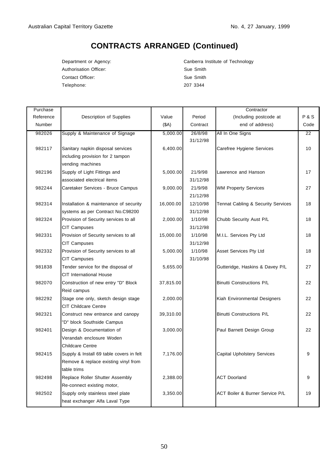# **CONTRACTS ARRANGED (Continued)**

Authorisation Officer: Sue Smith Contact Officer: Sue Smith Telephone: 207 3344

Department or Agency: Canberra Institute of Technology

| Purchase  |                                          |           |                     | Contractor                         |                 |
|-----------|------------------------------------------|-----------|---------------------|------------------------------------|-----------------|
| Reference | Description of Supplies                  | Value     | Period              | (Including postcode at             | P & S           |
| Number    |                                          | (SA)      | Contract            | end of address)                    | Code            |
| 982026    | Supply & Maintenance of Signage          | 5,000.00  | 26/8/98<br>31/12/98 | All In One Signs                   | $\overline{22}$ |
| 982117    | Sanitary napkin disposal services        | 6,400.00  |                     | Carefree Hygiene Services          | 10              |
|           | including provision for 2 tampon         |           |                     |                                    |                 |
|           | vending machines                         |           |                     |                                    |                 |
| 982196    | Supply of Light Fittings and             | 5,000.00  | 21/9/98             | Lawrence and Hanson                | 17              |
|           | associated electrical items              |           | 31/12/98            |                                    |                 |
| 982244    | Caretaker Services - Bruce Campus        | 9,000.00  | 21/9/98             | <b>WM Property Services</b>        | 27              |
|           |                                          |           | 21/12/98            |                                    |                 |
| 982314    | Installation & maintenance of security   | 16,000.00 | 12/10/98            | Tennat Cabling & Security Services | 18              |
|           | systems as per Contract No.C98200        |           | 31/12/98            |                                    |                 |
| 982324    | Provision of Security services to all    | 2,000.00  | 1/10/98             | Chubb Security Aust P/L            | 18              |
|           | <b>CIT Campuses</b>                      |           | 31/12/98            |                                    |                 |
| 982331    | Provision of Security services to all    | 15,000.00 | 1/10/98             | M.I.L. Services Pty Ltd            | 18              |
|           | <b>CIT Campuses</b>                      |           | 31/12/98            |                                    |                 |
| 982332    | Provision of Security services to all    | 5,000.00  | 1/10/98             | Asset Services Pty Ltd             | 18              |
|           | <b>CIT Campuses</b>                      |           | 31/10/98            |                                    |                 |
| 981838    | Tender service for the disposal of       | 5,655.00  |                     | Gutteridge, Haskins & Davey P/L    | 27              |
|           | <b>CIT International House</b>           |           |                     |                                    |                 |
| 982070    | Construction of new entry "D" Block      | 37,815.00 |                     | <b>Binutti Constructions P/L</b>   | 22              |
|           | Reid campus                              |           |                     |                                    |                 |
| 982292    | Stage one only, sketch design stage      | 2,000.00  |                     | Kiah Environmental Designers       | 22              |
|           | <b>CIT Childcare Centre</b>              |           |                     |                                    |                 |
| 982321    | Construct new entrance and canopy        | 39,310.00 |                     | <b>Binutti Constructions P/L</b>   | 22              |
|           | 'D" block Southside Campus               |           |                     |                                    |                 |
| 982401    | Design & Documentation of                | 3,000.00  |                     | Paul Barnett Design Group          | 22              |
|           | Verandah enclosure Woden                 |           |                     |                                    |                 |
|           | Childcare Centre                         |           |                     |                                    |                 |
| 982415    | Supply & Install 69 table covers in felt | 7,176.00  |                     | Capital Upholstery Services        | 9               |
|           | Remove & replace existing vinyl from     |           |                     |                                    |                 |
|           | table trims                              |           |                     |                                    |                 |
| 982498    | Replace Roller Shutter Assembly          | 2,388.00  |                     | <b>ACT Doorland</b>                | 9               |
|           | Re-connect existing motor,               |           |                     |                                    |                 |
| 982502    | Supply only stainless steel plate        | 3,350.00  |                     | ACT Boiler & Burner Service P/L    | 19              |
|           | heat exchanger Alfa Laval Type           |           |                     |                                    |                 |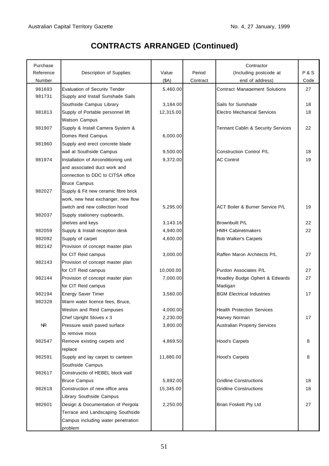## Purchase Contractor Contractor Contractor Contractor Contractor Contractor Contractor Reference Description of Supplies | Value Period | (Including postcode at P & S Number (\$A) Contract end of address) Code 981693 Evaluation of Security Tender 5,460.00 Contract Management Solutions 27 981731 Supply and Install Sunshade Sails Southside Campus Library 18 (3,184.00 Sails for Sunshade 18 18 981813 Supply of Portable personnel lift 12,315.00 Electro Mechanical Services 18 Watson Campus 981907 Supply & Install Camera System & Tennant Cablin & Security Services 22 Domes Reid Campus 6,000.00 981960 Supply and erect concrete blade wall at Southside Campus | 9,500.00 Construction Control P/L 18 981974 Installation of Airconditioning unit 9,372.00 AC Control 19 and associated duct work and connection to DDC to CITSA office Bruce Campus 982027 Supply & Fit new ceramic fibre brick work, new heat exchanger, new flow switch and new collection hood  $\begin{array}{|c|c|c|c|c|c|} \hline & & 5,295.00 & & \text{ACT Bolier & Burner Service P/L} \hline \end{array}$  19 982037 Supply stationery cupboards, shelves and keys **3,143.16** Brownbuilt P/L 22 982059 Supply & Install reception desk 4,940.00 HMH Cabinetmakers 22 982092 Supply of carpet 4,600.00 Bob Walker's Carpets 982142 Provision of concept master plan for CIT Reid campus **1** 3,000.00 **Raffen Maron Architects P/L 27** 982143 Provision of concept master plan for CIT Reid campus 10,000.00 Purdon Associates P/L 27 982144 Provision of concept master plan 7,000.00 Hoadley Budge Ophert & Edwards 27 for CIT Reid campus **Madigan** Madigan 982194 Energy Saver Timer 17 3,560.00 BGM Electrical Industries 17 982328 Warm water licence fees, Bruce, Weston and Reid Campuses **1988** 4,000.00 **Health Protection Services** Chef Upright Stoves x 3 2,230.00 Harvey Norman 17 NR Pressure wash paved surface  $\begin{vmatrix} 3,800.00 \\ 4,800.00 \end{vmatrix}$  Australian Property Services to remove moss 982547 Remove existing carpets and 4,869.50 Hood's Carpets 8 replace 982591 Supply and lay carpet to canteen 11,880.00 Hood's Carpets 8 Southside Campus 982617 Construsctio of HEBEL block wall Bruce Campus **6,892.00** Gridline Constructions 18 982618 Construction of new office area 15,345.00 Gridline Constructions 18 Library Southside Campus 982601 Design & Documentation of Pergola | 2,250.00 Brian Foskett Pty Ltd 27 Terrace and Landscaping Southside Campus including water penetration problem

# **CONTRACTS ARRANGED (Continued)**